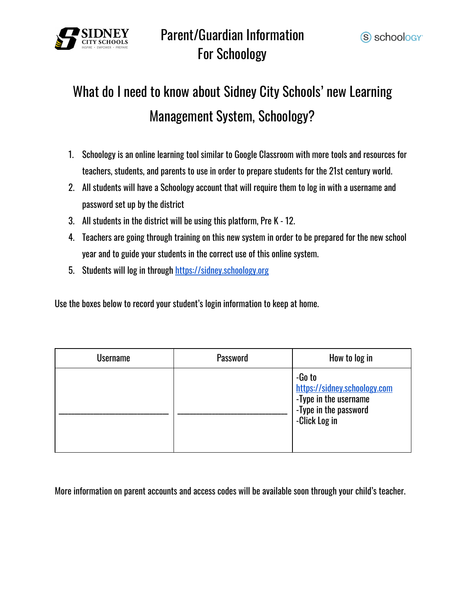

### Parent/Guardian Information For Schoology

# What do I need to know about Sidney City Schools' new Learning Management System, Schoology?

- 1. Schoology is an online learning tool similar to Google Classroom with more tools and resources for teachers, students, and parents to use in order to prepare students for the 21st century world.
- 2. All students will have a Schoology account that will require them to log in with a username and password set up by the district
- 3. All students in the district will be using this platform, Pre K 12.
- 4. Teachers are going through training on this new system in order to be prepared for the new school year and to guide your students in the correct use of this online system.
- 5. Students will log in through [https://sidney.schoology.org](https://sidney.schoology.org/)

Use the boxes below to record your student's login information to keep at home.

| <b>Username</b> | <b>Password</b> | How to log in                                                                                             |
|-----------------|-----------------|-----------------------------------------------------------------------------------------------------------|
|                 |                 | -Go to<br>https://sidney.schoology.com<br>-Type in the username<br>-Type in the password<br>-Click Log in |

More information on parent accounts and access codes will be available soon through your child's teacher.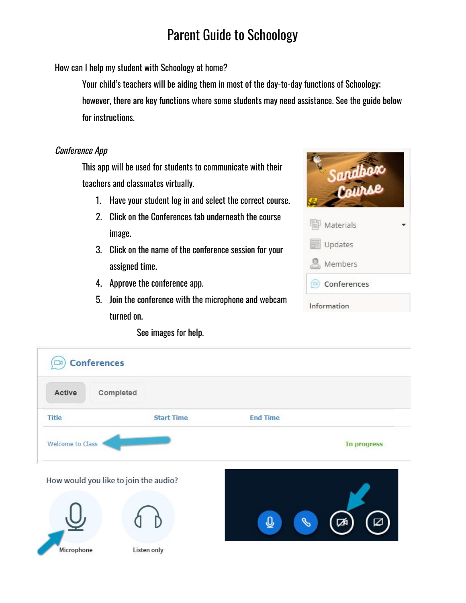How can I help my student with Schoology at home?

Your child's teachers will be aiding them in most of the day-to-day functions of Schoology; however, there are key functions where some students may need assistance. See the guide below for instructions.

#### Conference App

This app will be used for students to communicate with their teachers and classmates virtually.

- 1. Have your student log in and select the correct course.
- 2. Click on the Conferences tab underneath the course image.
- 3. Click on the name of the conference session for your assigned time.
- 4. Approve the conference app.
- 5. Join the conference with the microphone and webcam turned on.



See images for help.

| <b>Conferences</b><br>ĸ               |                   |                 |             |
|---------------------------------------|-------------------|-----------------|-------------|
| Completed<br>Active                   |                   |                 |             |
| Title                                 | <b>Start Time</b> | <b>End Time</b> |             |
| Welcome to Class                      |                   |                 | In progress |
| How would you like to join the audio? |                   |                 |             |
|                                       |                   | O,<br>凾         | ☑           |
| Microphone                            | Listen only       |                 |             |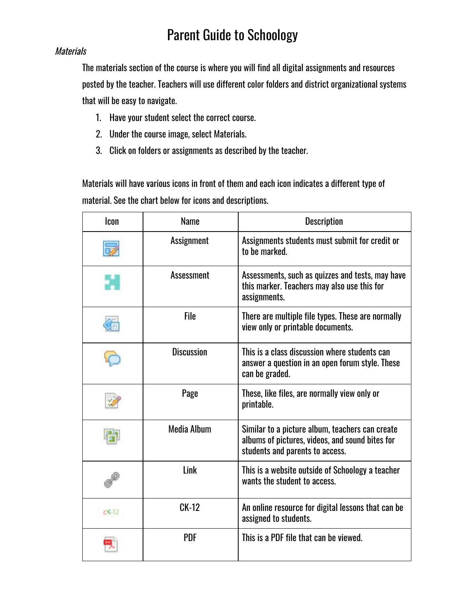#### **Materials**

The materials section of the course is where you will find all digital assignments and resources posted by the teacher. Teachers will use different color folders and district organizational systems that will be easy to navigate.

- 1. Have your student select the correct course.
- 2. Under the course image, select Materials.
- 3. Click on folders or assignments as described by the teacher.

Materials will have various icons in front of them and each icon indicates a different type of material. See the chart below for icons and descriptions.

| Icon    | <b>Name</b>       | <b>Description</b>                                                                                                                    |
|---------|-------------------|---------------------------------------------------------------------------------------------------------------------------------------|
|         | <b>Assignment</b> | Assignments students must submit for credit or<br>to be marked.                                                                       |
|         | <b>Assessment</b> | Assessments, such as quizzes and tests, may have<br>this marker. Teachers may also use this for<br>assignments.                       |
|         | <b>File</b>       | There are multiple file types. These are normally<br>view only or printable documents.                                                |
|         | <b>Discussion</b> | This is a class discussion where students can<br>answer a question in an open forum style. These<br>can be graded.                    |
|         | Page              | These, like files, are normally view only or<br>printable.                                                                            |
|         | Media Album       | Similar to a picture album, teachers can create<br>albums of pictures, videos, and sound bites for<br>students and parents to access. |
|         | Link              | This is a website outside of Schoology a teacher<br>wants the student to access.                                                      |
| $CK-12$ | <b>CK-12</b>      | An online resource for digital lessons that can be<br>assigned to students.                                                           |
|         | <b>PDF</b>        | This is a PDF file that can be viewed.                                                                                                |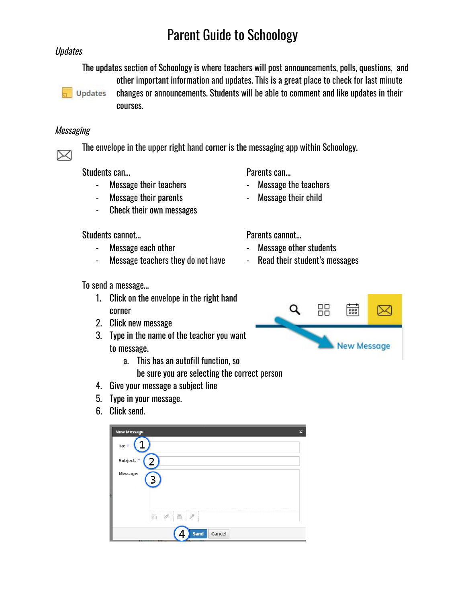#### **Updates**

The updates section of Schoology is where teachers will post announcements, polls, questions, and other important information and updates. This is a great place to check for last minute



changes or announcements. Students will be able to comment and like updates in their courses.

#### **Messaging**

⊠

The envelope in the upper right hand corner is the messaging app within Schoology.

Students can... **Students** can...

- Message their teachers  **Message the teachers**
- Message their parents  **Message their child**
- Check their own messages

Students cannot...

- 
- Message teachers they do not have Read their student's messages

To send a message…

- 1. Click on the envelope in the right hand corner
- 2. Click new message
- 3. Type in the name of the teacher you want to message.
	- a. This has an autofill function, so
		- be sure you are selecting the correct person
- 4. Give your message a subject line
- 5. Type in your message.
- 6. Click send.



- 
- 

- Message each other  **Message other students** 
	-